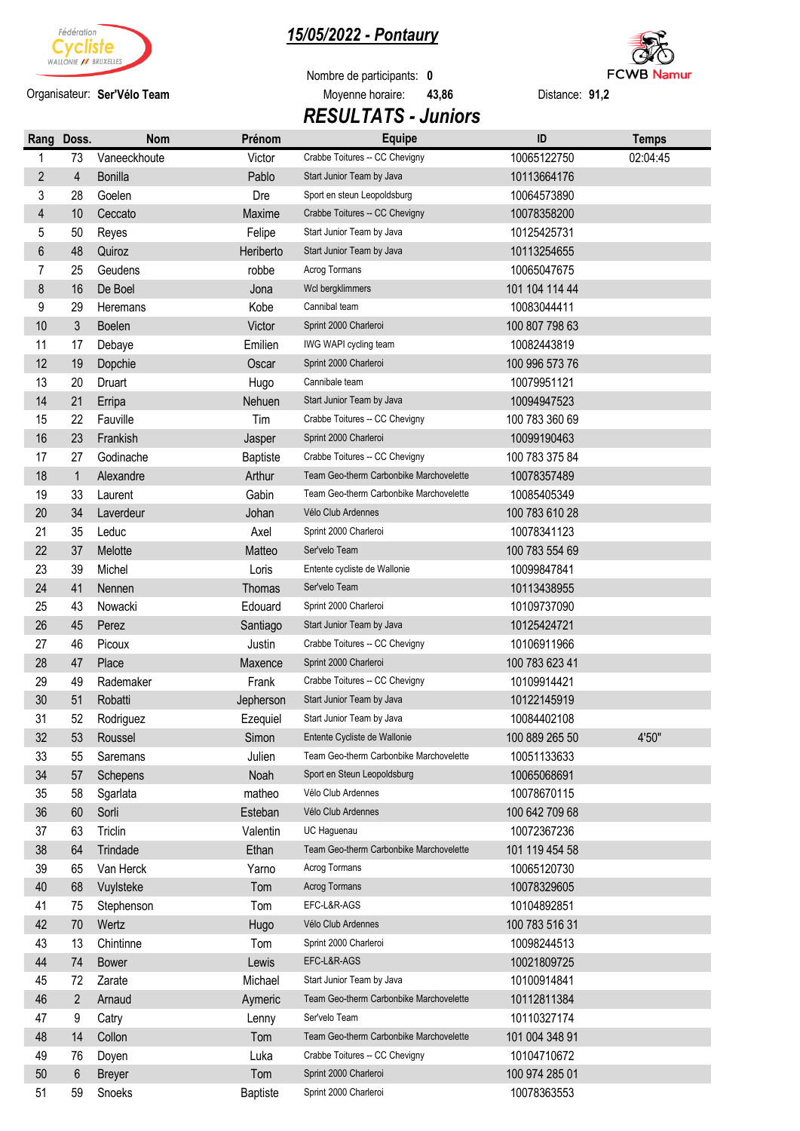

Organisateur: Ser'Vélo Team

## *15/05/2022 - Pontaury*

Nombre de participants: **0 Ser'Vélo Team** Moyenne horaire: **43,86** Distance: **91,2**  *RESULTATS - Juniors* 



| Rang                    | Doss.          | <b>Nom</b>     | Prénom          | <b>Equipe</b>                           | ID             | <b>Temps</b> |
|-------------------------|----------------|----------------|-----------------|-----------------------------------------|----------------|--------------|
| 1                       | 73             | Vaneeckhoute   | Victor          | Crabbe Toitures -- CC Chevigny          | 10065122750    | 02:04:45     |
| $\overline{2}$          | 4              | <b>Bonilla</b> | Pablo           | Start Junior Team by Java               | 10113664176    |              |
| 3                       | 28             | Goelen         | Dre             | Sport en steun Leopoldsburg             | 10064573890    |              |
| $\overline{\mathbf{4}}$ | 10             | Ceccato        | Maxime          | Crabbe Toitures -- CC Chevigny          | 10078358200    |              |
| 5                       | 50             | Reyes          | Felipe          | Start Junior Team by Java               | 10125425731    |              |
| $6\,$                   | 48             | Quiroz         | Heriberto       | Start Junior Team by Java               | 10113254655    |              |
| 7                       | 25             | Geudens        | robbe           | Acrog Tormans                           | 10065047675    |              |
| 8                       | 16             | De Boel        | Jona            | Wcl bergklimmers                        | 101 104 114 44 |              |
| 9                       | 29             | Heremans       | Kobe            | Cannibal team                           | 10083044411    |              |
| 10                      | 3              | Boelen         | Victor          | Sprint 2000 Charleroi                   | 100 807 798 63 |              |
| 11                      | 17             | Debaye         | Emilien         | IWG WAPI cycling team                   | 10082443819    |              |
| 12                      | 19             | Dopchie        | Oscar           | Sprint 2000 Charleroi                   | 100 996 573 76 |              |
| 13                      | 20             | Druart         | Hugo            | Cannibale team                          | 10079951121    |              |
| 14                      | 21             | Erripa         | Nehuen          | Start Junior Team by Java               | 10094947523    |              |
| 15                      | 22             | Fauville       | Tim             | Crabbe Toitures -- CC Chevigny          | 100 783 360 69 |              |
| 16                      | 23             | Frankish       | Jasper          | Sprint 2000 Charleroi                   | 10099190463    |              |
| 17                      | 27             | Godinache      | <b>Baptiste</b> | Crabbe Toitures -- CC Chevigny          | 100 783 375 84 |              |
| 18                      | $\mathbf{1}$   | Alexandre      | Arthur          | Team Geo-therm Carbonbike Marchovelette | 10078357489    |              |
| 19                      | 33             | Laurent        | Gabin           | Team Geo-therm Carbonbike Marchovelette | 10085405349    |              |
| 20                      | 34             | Laverdeur      | Johan           | Vélo Club Ardennes                      | 100 783 610 28 |              |
| 21                      | 35             | Leduc          | Axel            | Sprint 2000 Charleroi                   | 10078341123    |              |
| 22                      | 37             | Melotte        | Matteo          | Ser'velo Team                           | 100 783 554 69 |              |
| 23                      | 39             | Michel         | Loris           | Entente cycliste de Wallonie            | 10099847841    |              |
| 24                      | 41             | Nennen         | Thomas          | Ser'velo Team                           | 10113438955    |              |
| 25                      | 43             | Nowacki        | Edouard         | Sprint 2000 Charleroi                   | 10109737090    |              |
| 26                      | 45             | Perez          | Santiago        | Start Junior Team by Java               | 10125424721    |              |
| 27                      | 46             | Picoux         | Justin          | Crabbe Toitures -- CC Chevigny          | 10106911966    |              |
| 28                      | 47             | Place          | Maxence         | Sprint 2000 Charleroi                   | 100 783 623 41 |              |
| 29                      | 49             | Rademaker      | Frank           | Crabbe Toitures -- CC Chevigny          | 10109914421    |              |
| 30                      | 51             | Robatti        | Jepherson       | Start Junior Team by Java               | 10122145919    |              |
| 31                      | 52             | Rodriguez      | Ezequiel        | Start Junior Team by Java               | 10084402108    |              |
| 32                      | 53             | Roussel        | Simon           | Entente Cycliste de Wallonie            | 100 889 265 50 | 4'50"        |
| 33                      | 55             | Saremans       | Julien          | Team Geo-therm Carbonbike Marchovelette | 10051133633    |              |
| 34                      | 57             | Schepens       | Noah            | Sport en Steun Leopoldsburg             | 10065068691    |              |
| 35                      | 58             | Sgarlata       | matheo          | Vélo Club Ardennes                      | 10078670115    |              |
| 36                      | 60             | Sorli          | Esteban         | Vélo Club Ardennes                      | 100 642 709 68 |              |
| 37                      | 63             | Triclin        | Valentin        | UC Haquenau                             | 10072367236    |              |
| 38                      | 64             | Trindade       | Ethan           | Team Geo-therm Carbonbike Marchovelette | 101 119 454 58 |              |
| 39                      | 65             | Van Herck      | Yarno           | Acrog Tormans                           | 10065120730    |              |
| 40                      | 68             | Vuylsteke      | Tom             | <b>Acrog Tormans</b>                    | 10078329605    |              |
| 41                      | 75             | Stephenson     | Tom             | EFC-L&R-AGS                             | 10104892851    |              |
| 42                      | 70             | Wertz          | Hugo            | Vélo Club Ardennes                      | 100 783 516 31 |              |
| 43                      | 13             | Chintinne      | Tom             | Sprint 2000 Charleroi                   | 10098244513    |              |
| 44                      | 74             | <b>Bower</b>   | Lewis           | EFC-L&R-AGS                             | 10021809725    |              |
| 45                      | 72             | Zarate         | Michael         | Start Junior Team by Java               | 10100914841    |              |
| 46                      | $\overline{2}$ | Arnaud         | Aymeric         | Team Geo-therm Carbonbike Marchovelette | 10112811384    |              |
| 47                      | 9              | Catry          | Lenny           | Ser'velo Team                           | 10110327174    |              |
| 48                      | 14             | Collon         | Tom             | Team Geo-therm Carbonbike Marchovelette | 101 004 348 91 |              |
| 49                      | 76             | Doyen          | Luka            | Crabbe Toitures -- CC Chevigny          | 10104710672    |              |
| $50\,$                  | 6              | <b>Breyer</b>  | Tom             | Sprint 2000 Charleroi                   | 100 974 285 01 |              |
| 51                      | 59             | Snoeks         | <b>Baptiste</b> | Sprint 2000 Charleroi                   | 10078363553    |              |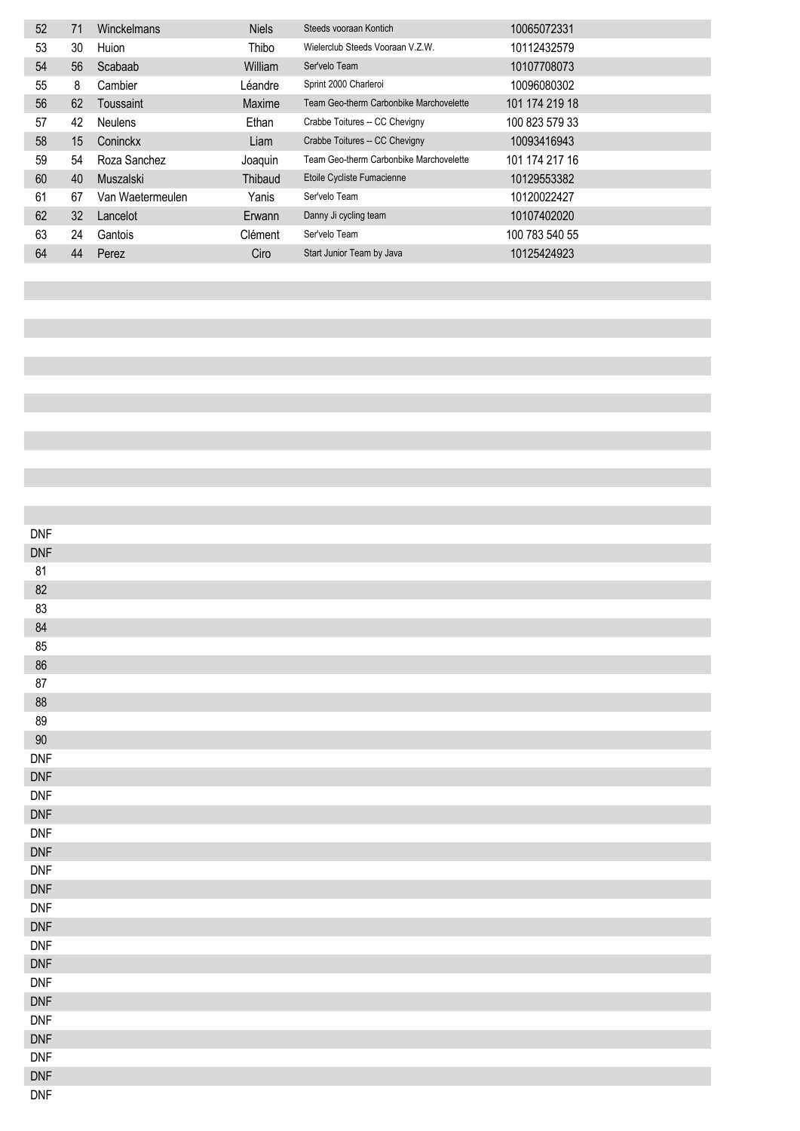| 52 | 71 | Winckelmans      | <b>Niels</b> | Steeds vooraan Kontich                  | 10065072331    |
|----|----|------------------|--------------|-----------------------------------------|----------------|
| 53 | 30 | Huion            | Thibo        | Wielerclub Steeds Vooraan V.Z.W.        | 10112432579    |
| 54 | 56 | Scabaab          | William      | Ser'velo Team                           | 10107708073    |
| 55 | 8  | Cambier          | Léandre      | Sprint 2000 Charleroi                   | 10096080302    |
| 56 | 62 | Toussaint        | Maxime       | Team Geo-therm Carbonbike Marchovelette | 101 174 219 18 |
| 57 | 42 | <b>Neulens</b>   | Ethan        | Crabbe Toitures -- CC Chevigny          | 100 823 579 33 |
| 58 | 15 | Coninckx         | Liam         | Crabbe Toitures -- CC Chevigny          | 10093416943    |
| 59 | 54 | Roza Sanchez     | Joaquin      | Team Geo-therm Carbonbike Marchovelette | 101 174 217 16 |
| 60 | 40 | Muszalski        | Thibaud      | Etoile Cycliste Fumacienne              | 10129553382    |
| 61 | 67 | Van Waetermeulen | Yanis        | Ser'velo Team                           | 10120022427    |
| 62 | 32 | Lancelot         | Erwann       | Danny Ji cycling team                   | 10107402020    |
| 63 | 24 | Gantois          | Clément      | Ser'velo Team                           | 100 783 540 55 |
| 64 | 44 | Perez            | Ciro         | Start Junior Team by Java               | 10125424923    |

| $\mathsf{DNF}$ |  |
|----------------|--|
| $\mathsf{DNF}$ |  |
| 81             |  |
| $82\,$         |  |
| 83             |  |
| $84\,$         |  |
| 85             |  |
| $86\,$         |  |
| $87\,$         |  |
| $88\,$         |  |
| 89             |  |
| $90\,$         |  |
| <b>DNF</b>     |  |
| $\mathsf{DNF}$ |  |
| $\mathsf{DNF}$ |  |
| DNF            |  |
| $\mathsf{DNF}$ |  |
| $\mathsf{DNF}$ |  |
| $\mathsf{DNF}$ |  |
| $\mathsf{DNF}$ |  |
| $\mathsf{DNF}$ |  |
| DNF            |  |
| $\mathsf{DNF}$ |  |
| $\mathsf{DNF}$ |  |
| $\mathsf{DNF}$ |  |
| $\mathsf{DNF}$ |  |
| $\mathsf{DNF}$ |  |
| $\mathsf{DNF}$ |  |
| $\mathsf{DNF}$ |  |
| $\mathsf{DNF}$ |  |
| $\mathsf{DNF}$ |  |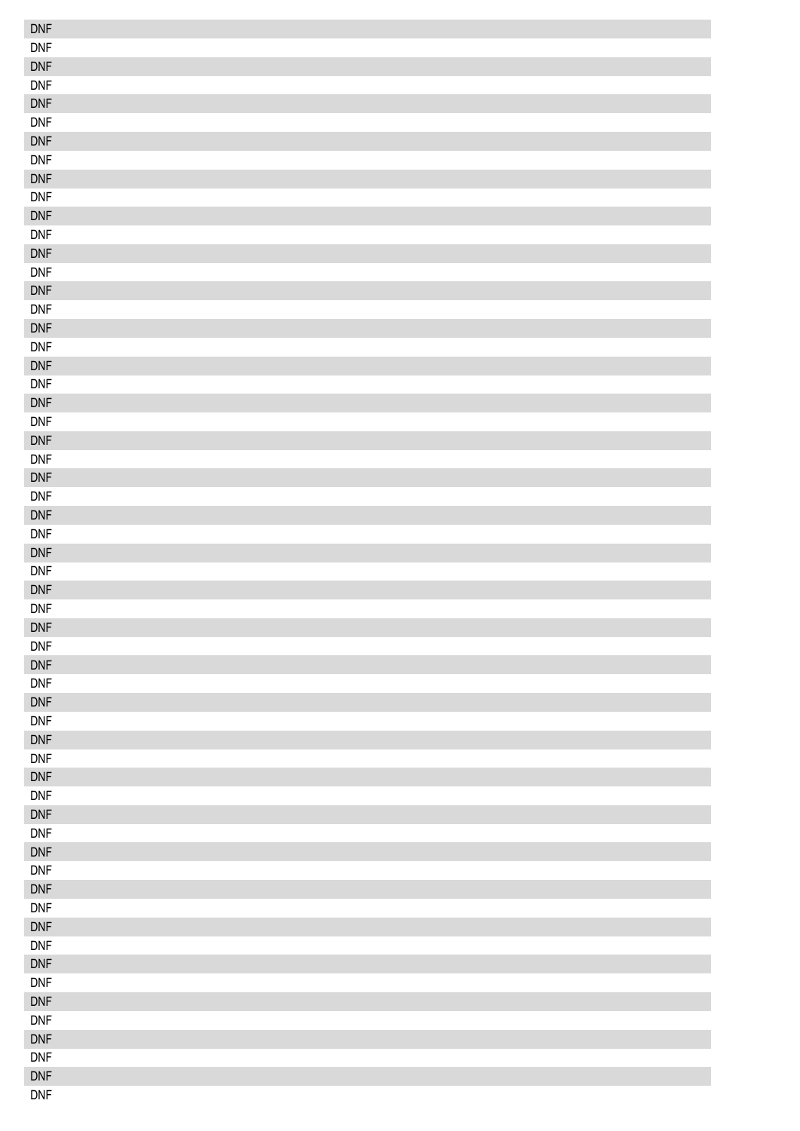| <b>DNF</b>                   |  |
|------------------------------|--|
| <b>DNF</b>                   |  |
| <b>DNF</b>                   |  |
| <b>DNF</b>                   |  |
| $\mathsf{DNF}$               |  |
| <b>DNF</b>                   |  |
| <b>DNF</b>                   |  |
| <b>DNF</b>                   |  |
| <b>DNF</b>                   |  |
| <b>DNF</b>                   |  |
| $\mathsf{DNF}$               |  |
| $\mathsf{DNF}$               |  |
| $\mathsf{DNF}$               |  |
| <b>DNF</b>                   |  |
| $\mathsf{DNF}$               |  |
| <b>DNF</b>                   |  |
| <b>DNF</b>                   |  |
| $\mathsf{DNF}$               |  |
| $\mathsf{DNF}$               |  |
| <b>DNF</b>                   |  |
| $\mathsf{DNF}$               |  |
| <b>DNF</b>                   |  |
| $\mathsf{DNF}$               |  |
| <b>DNF</b>                   |  |
| <b>DNF</b>                   |  |
| $\mathsf{DNF}$               |  |
| $\mathsf{DNF}$               |  |
| <b>DNF</b>                   |  |
| $\mathsf{DNF}$               |  |
| <b>DNF</b>                   |  |
| $\mathsf{DNF}$               |  |
| <b>DNF</b>                   |  |
| DNF                          |  |
|                              |  |
| <b>DNF</b>                   |  |
| $\mathsf{DNF}$<br><b>DNF</b> |  |
|                              |  |
| $\mathsf{DNF}$<br><b>DNF</b> |  |
|                              |  |
| $\mathsf{DNF}$               |  |
| $\mathsf{DNF}$               |  |
| $\mathsf{DNF}$               |  |
| $\mathsf{DNF}$               |  |
| $\mathsf{DNF}$               |  |
| $\mathsf{DNF}$               |  |
| $\mathsf{DNF}$               |  |
| $\mathsf{DNF}$               |  |
| $\mathsf{DNF}$               |  |
| $\mathsf{DNF}$               |  |
| $\mathsf{DNF}$               |  |
| $\mathsf{DNF}$               |  |
| $\mathsf{DNF}$               |  |
| $\mathsf{DNF}$               |  |
| $\mathsf{DNF}$               |  |
| $\mathsf{DNF}$               |  |
| $\mathsf{DNF}$               |  |
| <b>DNF</b>                   |  |
| $\mathsf{DNF}$               |  |
| <b>DNF</b>                   |  |